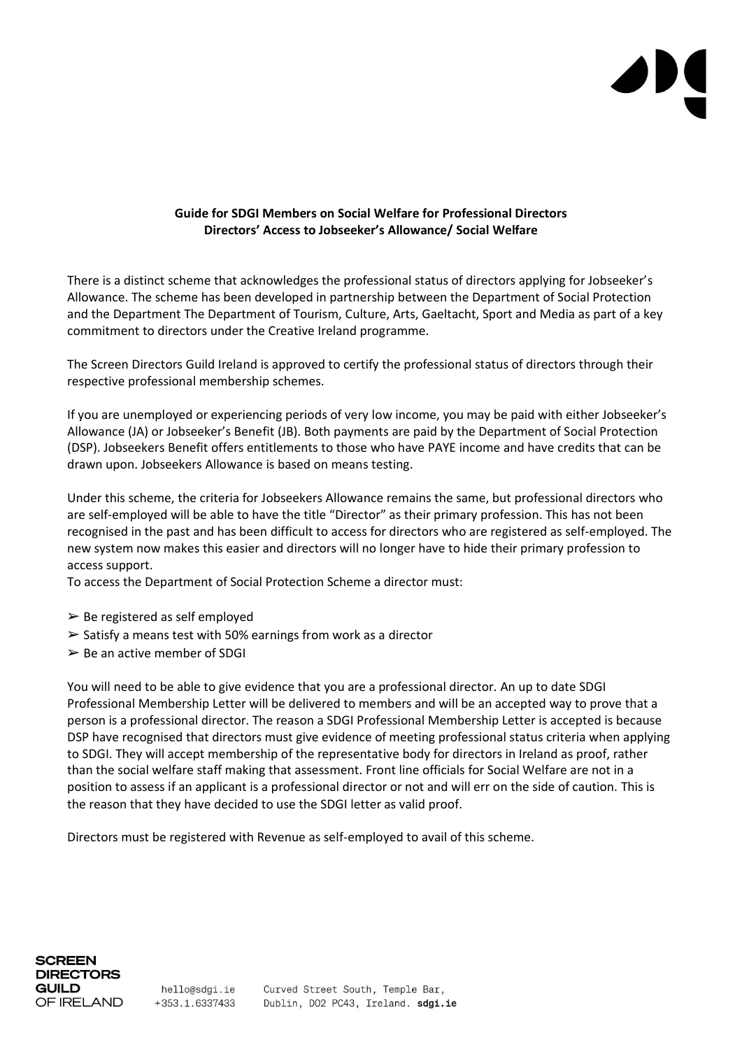# **Guide for SDGI Members on Social Welfare for Professional Directors Directors' Access to Jobseeker's Allowance/ Social Welfare**

There is a distinct scheme that acknowledges the professional status of directors applying for Jobseeker's Allowance. The scheme has been developed in partnership between the Department of Social Protection and the Department The Department of Tourism, Culture, Arts, Gaeltacht, Sport and Media as part of a key commitment to directors under the Creative Ireland programme.

The Screen Directors Guild Ireland is approved to certify the professional status of directors through their respective professional membership schemes.

If you are unemployed or experiencing periods of very low income, you may be paid with either Jobseeker's Allowance (JA) or Jobseeker's Benefit (JB). Both payments are paid by the Department of Social Protection (DSP). Jobseekers Benefit offers entitlements to those who have PAYE income and have credits that can be drawn upon. Jobseekers Allowance is based on means testing.

Under this scheme, the criteria for Jobseekers Allowance remains the same, but professional directors who are self-employed will be able to have the title "Director" as their primary profession. This has not been recognised in the past and has been difficult to access for directors who are registered as self-employed. The new system now makes this easier and directors will no longer have to hide their primary profession to access support.

To access the Department of Social Protection Scheme a director must:

- $\triangleright$  Be registered as self employed
- $\geq$  Satisfy a means test with 50% earnings from work as a director
- $\triangleright$  Be an active member of SDGI

You will need to be able to give evidence that you are a professional director. An up to date SDGI Professional Membership Letter will be delivered to members and will be an accepted way to prove that a person is a professional director. The reason a SDGI Professional Membership Letter is accepted is because DSP have recognised that directors must give evidence of meeting professional status criteria when applying to SDGI. They will accept membership of the representative body for directors in Ireland as proof, rather than the social welfare staff making that assessment. Front line officials for Social Welfare are not in a position to assess if an applicant is a professional director or not and will err on the side of caution. This is the reason that they have decided to use the SDGI letter as valid proof.

Directors must be registered with Revenue as self-employed to avail of this scheme.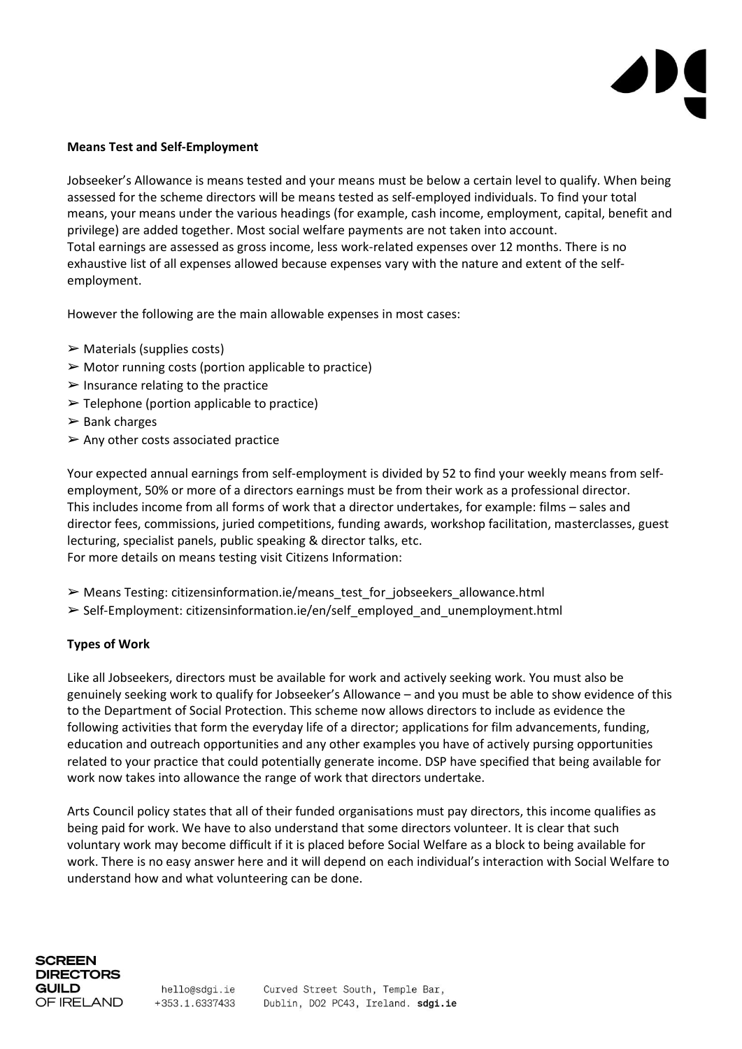### **Means Test and Self-Employment**

Jobseeker's Allowance is means tested and your means must be below a certain level to qualify. When being assessed for the scheme directors will be means tested as self-employed individuals. To find your total means, your means under the various headings (for example, cash income, employment, capital, benefit and privilege) are added together. Most social welfare payments are not taken into account. Total earnings are assessed as gross income, less work-related expenses over 12 months. There is no exhaustive list of all expenses allowed because expenses vary with the nature and extent of the selfemployment.

However the following are the main allowable expenses in most cases:

- $\triangleright$  Materials (supplies costs)
- $\triangleright$  Motor running costs (portion applicable to practice)
- $\triangleright$  Insurance relating to the practice
- $\triangleright$  Telephone (portion applicable to practice)
- $\triangleright$  Bank charges
- $\triangleright$  Any other costs associated practice

Your expected annual earnings from self-employment is divided by 52 to find your weekly means from selfemployment, 50% or more of a directors earnings must be from their work as a professional director. This includes income from all forms of work that a director undertakes, for example: films – sales and director fees, commissions, juried competitions, funding awards, workshop facilitation, masterclasses, guest lecturing, specialist panels, public speaking & director talks, etc. For more details on means testing visit Citizens Information:

- ➢ Means Testing: citizensinformation.ie/means\_test\_for\_jobseekers\_allowance.html
- ➢ Self-Employment: citizensinformation.ie/en/self\_employed\_and\_unemployment.html

# **Types of Work**

Like all Jobseekers, directors must be available for work and actively seeking work. You must also be genuinely seeking work to qualify for Jobseeker's Allowance – and you must be able to show evidence of this to the Department of Social Protection. This scheme now allows directors to include as evidence the following activities that form the everyday life of a director; applications for film advancements, funding, education and outreach opportunities and any other examples you have of actively pursing opportunities related to your practice that could potentially generate income. DSP have specified that being available for work now takes into allowance the range of work that directors undertake.

Arts Council policy states that all of their funded organisations must pay directors, this income qualifies as being paid for work. We have to also understand that some directors volunteer. It is clear that such voluntary work may become difficult if it is placed before Social Welfare as a block to being available for work. There is no easy answer here and it will depend on each individual's interaction with Social Welfare to understand how and what volunteering can be done.